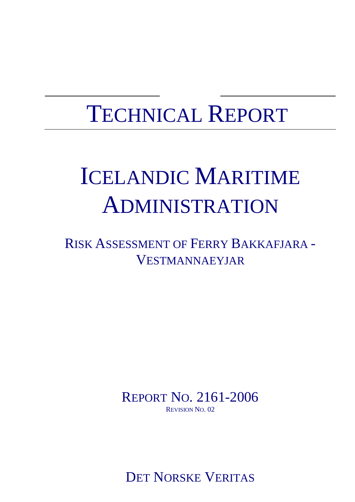# ICELANDIC MARITIME ADMINISTRATION

RISK ASSESSMENT OF FERRY BAKKAFJARA - VESTMANNAEYJAR

> REPORT NO. 2161-2006 REVISION NO. 02

DET NORSKE VERITAS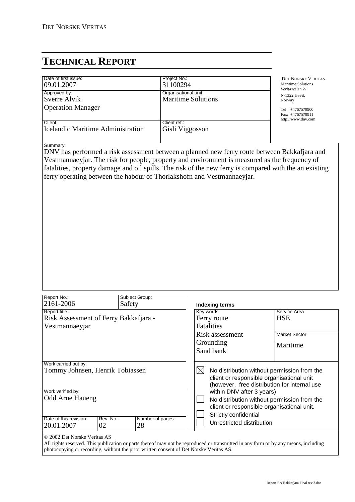| Date of first issue:<br>09.01.2007                  | Project No.:<br>31100294                          | <b>DET NORSKE VERITAS</b><br>Maritime Solutions              |
|-----------------------------------------------------|---------------------------------------------------|--------------------------------------------------------------|
| Approved by:<br>Sverre Alvik                        | Organisational unit:<br><b>Maritime Solutions</b> | Veritasveien 21<br>N-1322 Høvik<br>Norway                    |
| <b>Operation Manager</b>                            |                                                   | Tel: $+4767579900$<br>Fax: +4767579911<br>http://www.dnv.com |
| Client:<br><b>Icelandic Maritime Administration</b> | Client ref.:<br>Gisli Viggosson                   |                                                              |

#### Summary:

DNV has performed a risk assessment between a planned new ferry route between Bakkafjara and Vestmannaeyjar. The risk for people, property and environment is measured as the frequency of fatalities, property damage and oil spills. The risk of the new ferry is compared with the an existing ferry operating between the habour of Thorlakshofn and Vestmannaeyjar.

| Report No.:<br>2161-2006                                                                                                                                                                    |  | Subject Group:<br>Safety |                                                                                 | Indexing terms                                                                                                                                                                                                                        |                                                                |
|---------------------------------------------------------------------------------------------------------------------------------------------------------------------------------------------|--|--------------------------|---------------------------------------------------------------------------------|---------------------------------------------------------------------------------------------------------------------------------------------------------------------------------------------------------------------------------------|----------------------------------------------------------------|
| Report title:<br>Risk Assessment of Ferry Bakkafjara -<br>Vestmannaeyjar                                                                                                                    |  |                          |                                                                                 | Kev words<br>Ferry route<br><b>Fatalities</b><br>Risk assessment<br>Grounding<br>Sand bank                                                                                                                                            | Service Area<br><b>HSE</b><br><b>Market Sector</b><br>Maritime |
| Work carried out by:<br>Tommy Johnsen, Henrik Tobiassen<br>Work verified by:<br><b>Odd Arne Haueng</b><br>Date of this revision:<br>Rev. No.:<br>Number of pages:<br>28<br>20.01.2007<br>02 |  | IXI                      | within DNV after 3 years)<br>Strictly confidential<br>Unrestricted distribution | No distribution without permission from the<br>client or responsible organisational unit<br>(however, free distribution for internal use<br>No distribution without permission from the<br>client or responsible organisational unit. |                                                                |
| © 2002 Det Norske Veritas AS                                                                                                                                                                |  |                          |                                                                                 |                                                                                                                                                                                                                                       |                                                                |

All rights reserved. This publication or parts thereof may not be reproduced or transmitted in any form or by any means, including photocopying or recording, without the prior written consent of Det Norske Veritas AS.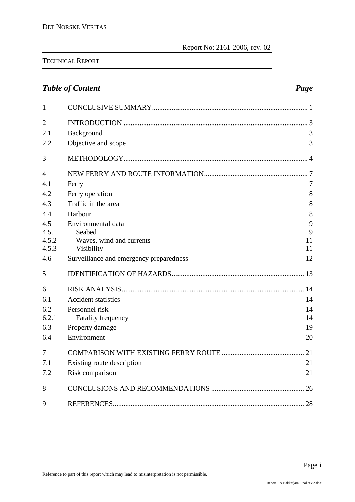# **Table of Content Page 2018**

| $\mathbf{1}$   |                                         |    |
|----------------|-----------------------------------------|----|
| $\overline{2}$ |                                         |    |
| 2.1            | Background                              | 3  |
| 2.2            | Objective and scope                     | 3  |
| 3              |                                         |    |
| $\overline{4}$ |                                         |    |
| 4.1            | Ferry                                   | 7  |
| 4.2            | Ferry operation                         | 8  |
| 4.3            | Traffic in the area                     | 8  |
| 4.4            | Harbour                                 | 8  |
| 4.5            | Environmental data                      | 9  |
| 4.5.1          | Seabed                                  | 9  |
| 4.5.2          | Waves, wind and currents                | 11 |
| 4.5.3          | Visibility                              | 11 |
| 4.6            | Surveillance and emergency preparedness | 12 |
| 5              |                                         |    |
| 6              |                                         |    |
| 6.1            | <b>Accident statistics</b>              | 14 |
| 6.2            | Personnel risk                          | 14 |
| 6.2.1          | <b>Fatality frequency</b>               | 14 |
| 6.3            | Property damage                         | 19 |
| 6.4            | Environment                             | 20 |
| 7              |                                         |    |
| 7.1            | Existing route description              | 21 |
| 7.2            | Risk comparison                         | 21 |
| 8              |                                         |    |
| 9              |                                         |    |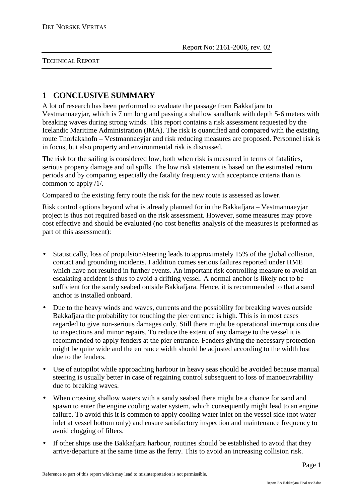# **1 CONCLUSIVE SUMMARY**

A lot of research has been performed to evaluate the passage from Bakkafjara to Vestmannaeyjar, which is 7 nm long and passing a shallow sandbank with depth 5-6 meters with breaking waves during strong winds. This report contains a risk assessment requested by the Icelandic Maritime Administration (IMA). The risk is quantified and compared with the existing route Thorlakshofn – Vestmannaeyjar and risk reducing measures are proposed. Personnel risk is in focus, but also property and environmental risk is discussed.

The risk for the sailing is considered low, both when risk is measured in terms of fatalities, serious property damage and oil spills. The low risk statement is based on the estimated return periods and by comparing especially the fatality frequency with acceptance criteria than is common to apply /1/.

Compared to the existing ferry route the risk for the new route is assessed as lower.

Risk control options beyond what is already planned for in the Bakkafjara – Vestmannaeyjar project is thus not required based on the risk assessment. However, some measures may prove cost effective and should be evaluated (no cost benefits analysis of the measures is preformed as part of this assessment):

- Statistically, loss of propulsion/steering leads to approximately 15% of the global collision, contact and grounding incidents. I addition comes serious failures reported under HME which have not resulted in further events. An important risk controlling measure to avoid an escalating accident is thus to avoid a drifting vessel. A normal anchor is likely not to be sufficient for the sandy seabed outside Bakkafjara. Hence, it is recommended to that a sand anchor is installed onboard.
- Due to the heavy winds and waves, currents and the possibility for breaking waves outside Bakkafjara the probability for touching the pier entrance is high. This is in most cases regarded to give non-serious damages only. Still there might be operational interruptions due to inspections and minor repairs. To reduce the extent of any damage to the vessel it is recommended to apply fenders at the pier entrance. Fenders giving the necessary protection might be quite wide and the entrance width should be adjusted according to the width lost due to the fenders.
- Use of autopilot while approaching harbour in heavy seas should be avoided because manual steering is usually better in case of regaining control subsequent to loss of manoeuvrability due to breaking waves.
- When crossing shallow waters with a sandy seabed there might be a chance for sand and spawn to enter the engine cooling water system, which consequently might lead to an engine failure. To avoid this it is common to apply cooling water inlet on the vessel side (not water inlet at vessel bottom only) and ensure satisfactory inspection and maintenance frequency to avoid clogging of filters.
- If other ships use the Bakkafjara harbour, routines should be established to avoid that they arrive/departure at the same time as the ferry. This to avoid an increasing collision risk.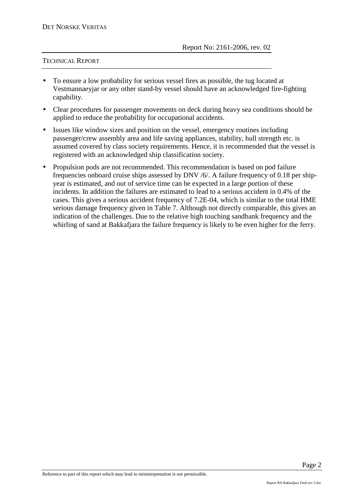- To ensure a low probability for serious vessel fires as possible, the tug located at Vestmannaeyjar or any other stand-by vessel should have an acknowledged fire-fighting capability.
- Clear procedures for passenger movements on deck during heavy sea conditions should be applied to reduce the probability for occupational accidents.
- Issues like window sizes and position on the vessel, emergency routines including passenger/crew assembly area and life saving appliances, stability, hull strength etc. is assumed covered by class society requirements. Hence, it is recommended that the vessel is registered with an acknowledged ship classification society.
- Propulsion pods are not recommended. This recommendation is based on pod failure frequencies onboard cruise ships assessed by DNV /6/. A failure frequency of 0.18 per shipyear is estimated, and out of service time can be expected in a large portion of these incidents. In addition the failures are estimated to lead to a serious accident in 0.4% of the cases. This gives a serious accident frequency of 7.2E-04, which is similar to the total HME serious damage frequency given in Table 7. Although not directly comparable, this gives an indication of the challenges. Due to the relative high touching sandbank frequency and the whirling of sand at Bakkafjara the failure frequency is likely to be even higher for the ferry.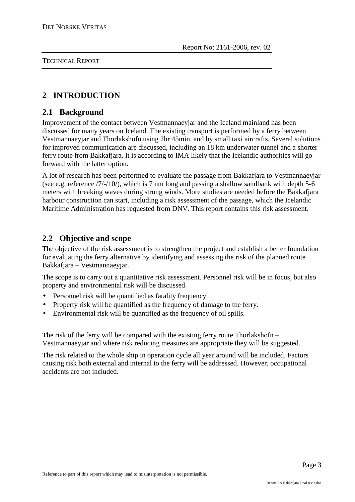# **2 INTRODUCTION**

# **2.1 Background**

Improvement of the contact between Vestmannaeyjar and the Iceland mainland has been discussed for many years on Iceland. The existing transport is performed by a ferry between Vestmannaeyjar and Thorlakshofn using 2hr 45min, and by small taxi aircrafts. Several solutions for improved communication are discussed, including an 18 km underwater tunnel and a shorter ferry route from Bakkafjara. It is according to IMA likely that the Icelandic authorities will go forward with the latter option.

A lot of research has been performed to evaluate the passage from Bakkafjara to Vestmannaeyjar (see e.g. reference /7/-/10/), which is 7 nm long and passing a shallow sandbank with depth 5-6 meters with breaking waves during strong winds. More studies are needed before the Bakkafjara harbour construction can start, including a risk assessment of the passage, which the Icelandic Maritime Administration has requested from DNV. This report contains this risk assessment.

# **2.2 Objective and scope**

The objective of the risk assessment is to strengthen the project and establish a better foundation for evaluating the ferry alternative by identifying and assessing the risk of the planned route Bakkafjara – Vestmannaeyjar.

The scope is to carry out a quantitative risk assessment. Personnel risk will be in focus, but also property and environmental risk will be discussed.

- Personnel risk will be quantified as fatality frequency.
- Property risk will be quantified as the frequency of damage to the ferry.
- Environmental risk will be quantified as the frequency of oil spills.

The risk of the ferry will be compared with the existing ferry route Thorlakshofn – Vestmannaeyjar and where risk reducing measures are appropriate they will be suggested.

The risk related to the whole ship in operation cycle all year around will be included. Factors causing risk both external and internal to the ferry will be addressed. However, occupational accidents are not included.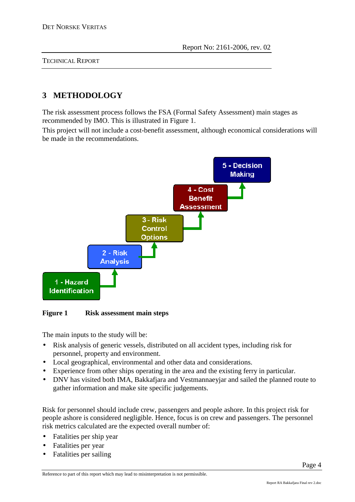# **3 METHODOLOGY**

The risk assessment process follows the FSA (Formal Safety Assessment) main stages as recommended by IMO. This is illustrated in Figure 1.

This project will not include a cost-benefit assessment, although economical considerations will be made in the recommendations.



**Figure 1 Risk assessment main steps** 

The main inputs to the study will be:

- Risk analysis of generic vessels, distributed on all accident types, including risk for personnel, property and environment.
- Local geographical, environmental and other data and considerations.
- Experience from other ships operating in the area and the existing ferry in particular.
- DNV has visited both IMA, Bakkafjara and Vestmannaeyjar and sailed the planned route to gather information and make site specific judgements.

Risk for personnel should include crew, passengers and people ashore. In this project risk for people ashore is considered negligible. Hence, focus is on crew and passengers. The personnel risk metrics calculated are the expected overall number of:

- Fatalities per ship year
- Fatalities per year
- Fatalities per sailing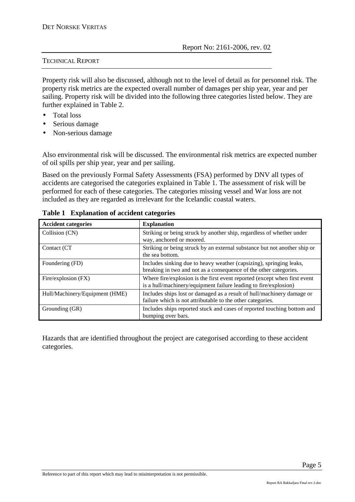Property risk will also be discussed, although not to the level of detail as for personnel risk. The property risk metrics are the expected overall number of damages per ship year, year and per sailing. Property risk will be divided into the following three categories listed below. They are further explained in Table 2.

- Total loss
- Serious damage
- Non-serious damage

Also environmental risk will be discussed. The environmental risk metrics are expected number of oil spills per ship year, year and per sailing.

Based on the previously Formal Safety Assessments (FSA) performed by DNV all types of accidents are categorised the categories explained in Table 1. The assessment of risk will be performed for each of these categories. The categories missing vessel and War loss are not included as they are regarded as irrelevant for the Icelandic coastal waters.

| <b>Accident categories</b>     | <b>Explanation</b>                                                                                                                            |
|--------------------------------|-----------------------------------------------------------------------------------------------------------------------------------------------|
| Collision (CN)                 | Striking or being struck by another ship, regardless of whether under<br>way, anchored or moored.                                             |
| Contact (CT                    | Striking or being struck by an external substance but not another ship or<br>the sea bottom.                                                  |
| Foundering (FD)                | Includes sinking due to heavy weather (capsizing), springing leaks,<br>breaking in two and not as a consequence of the other categories.      |
| Fire/explosion (FX)            | Where fire/explosion is the first event reported (except when first event<br>is a hull/machinery/equipment failure leading to fire/explosion) |
| Hull/Machinery/Equipment (HME) | Includes ships lost or damaged as a result of hull/machinery damage or<br>failure which is not attributable to the other categories.          |
| Grounding (GR)                 | Includes ships reported stuck and cases of reported touching bottom and<br>bumping over bars.                                                 |

**Table 1 Explanation of accident categories** 

Hazards that are identified throughout the project are categorised according to these accident categories.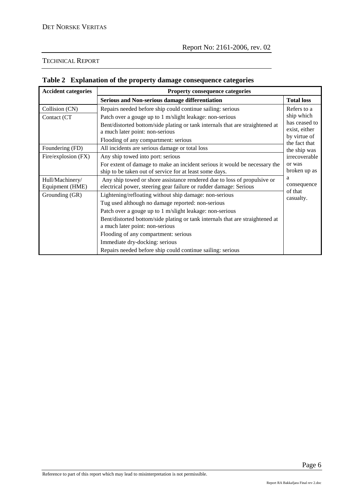| <b>Accident categories</b>         | Property consequence categories                                                                                                               |                               |  |
|------------------------------------|-----------------------------------------------------------------------------------------------------------------------------------------------|-------------------------------|--|
|                                    | <b>Serious and Non-serious damage differentiation</b>                                                                                         | <b>Total loss</b>             |  |
| Collision (CN)                     | Repairs needed before ship could continue sailing: serious                                                                                    | Refers to a                   |  |
| Contact (CT                        | Patch over a gouge up to 1 m/slight leakage: non-serious                                                                                      | ship which<br>has ceased to   |  |
|                                    | Bent/distorted bottom/side plating or tank internals that are straightened at<br>a much later point: non-serious                              | exist, either                 |  |
|                                    | Flooding of any compartment: serious                                                                                                          | by virtue of                  |  |
| Foundering (FD)                    | All incidents are serious damage or total loss                                                                                                | the fact that<br>the ship was |  |
| Fire/explosion (FX)                | Any ship towed into port: serious                                                                                                             | irrecoverable                 |  |
|                                    | For extent of damage to make an incident serious it would be necessary the<br>ship to be taken out of service for at least some days.         | or was<br>broken up as        |  |
| Hull/Machinery/<br>Equipment (HME) | Any ship towed or shore assistance rendered due to loss of propulsive or<br>electrical power, steering gear failure or rudder damage: Serious | a<br>consequence              |  |
| Grounding (GR)                     | Lightening/refloating without ship damage: non-serious                                                                                        | of that<br>casualty.          |  |
|                                    | Tug used although no damage reported: non-serious                                                                                             |                               |  |
|                                    | Patch over a gouge up to 1 m/slight leakage: non-serious                                                                                      |                               |  |
|                                    | Bent/distorted bottom/side plating or tank internals that are straightened at                                                                 |                               |  |
|                                    | a much later point: non-serious                                                                                                               |                               |  |
|                                    | Flooding of any compartment: serious                                                                                                          |                               |  |
|                                    | Immediate dry-docking: serious                                                                                                                |                               |  |
|                                    | Repairs needed before ship could continue sailing: serious                                                                                    |                               |  |

### **Table 2 Explanation of the property damage consequence categories**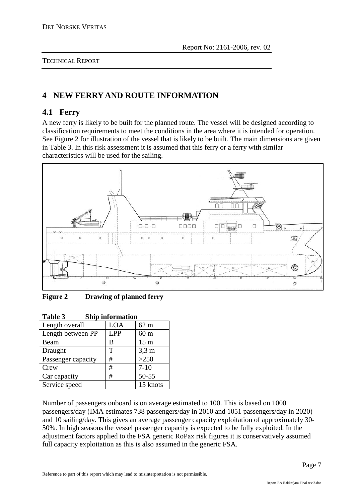# **4 NEW FERRY AND ROUTE INFORMATION**

# **4.1 Ferry**

A new ferry is likely to be built for the planned route. The vessel will be designed according to classification requirements to meet the conditions in the area where it is intended for operation. See Figure 2 for illustration of the vessel that is likely to be built. The main dimensions are given in Table 3. In this risk assessment it is assumed that this ferry or a ferry with similar characteristics will be used for the sailing.



**Figure 2 Drawing of planned ferry** 

| LOA        | $62 \text{ m}$  |
|------------|-----------------|
| <b>LPP</b> | 60 <sub>m</sub> |
| В          | 15 <sub>m</sub> |
| Т          | $3,3 \text{ m}$ |
| #          | >250            |
| #          | $7 - 10$        |
| #          | 50-55           |
|            | 15 knots        |
|            | эшр шилшайш     |

| Table 3        | <b>Ship information</b>    |  |
|----------------|----------------------------|--|
| Length overall | $\overline{1 \cap \Delta}$ |  |

Number of passengers onboard is on average estimated to 100. This is based on 1000 passengers/day (IMA estimates 738 passengers/day in 2010 and 1051 passengers/day in 2020) and 10 sailing/day. This gives an average passenger capacity exploitation of approximately 30- 50%. In high seasons the vessel passenger capacity is expected to be fully exploited. In the adjustment factors applied to the FSA generic RoPax risk figures it is conservatively assumed full capacity exploitation as this is also assumed in the generic FSA.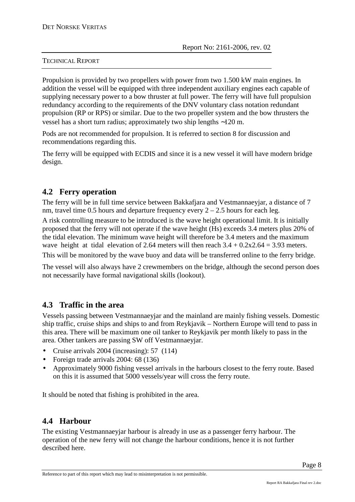Propulsion is provided by two propellers with power from two 1.500 kW main engines. In addition the vessel will be equipped with three independent auxiliary engines each capable of supplying necessary power to a bow thruster at full power. The ferry will have full propulsion redundancy according to the requirements of the DNV voluntary class notation redundant propulsion (RP or RPS) or similar. Due to the two propeller system and the bow thrusters the vessel has a short turn radius; approximately two ship lengths ∼120 m.

Pods are not recommended for propulsion. It is referred to section 8 for discussion and recommendations regarding this.

The ferry will be equipped with ECDIS and since it is a new vessel it will have modern bridge design.

# **4.2 Ferry operation**

The ferry will be in full time service between Bakkafjara and Vestmannaeyjar, a distance of 7 nm, travel time 0.5 hours and departure frequency every  $2 - 2.5$  hours for each leg.

A risk controlling measure to be introduced is the wave height operational limit. It is initially proposed that the ferry will not operate if the wave height (Hs) exceeds 3.4 meters plus 20% of the tidal elevation. The minimum wave height will therefore be 3.4 meters and the maximum wave height at tidal elevation of 2.64 meters will then reach  $3.4 + 0.2x2.64 = 3.93$  meters. This will be monitored by the wave buoy and data will be transferred online to the ferry bridge.

The vessel will also always have 2 crewmembers on the bridge, although the second person does not necessarily have formal navigational skills (lookout).

### **4.3 Traffic in the area**

Vessels passing between Vestmannaeyjar and the mainland are mainly fishing vessels. Domestic ship traffic, cruise ships and ships to and from Reykjavik – Northern Europe will tend to pass in this area. There will be maximum one oil tanker to Reykjavik per month likely to pass in the area. Other tankers are passing SW off Vestmannaeyjar.

- Cruise arrivals 2004 (increasing): 57 (114)
- Foreign trade arrivals 2004: 68 (136)
- Approximately 9000 fishing vessel arrivals in the harbours closest to the ferry route. Based on this it is assumed that 5000 vessels/year will cross the ferry route.

It should be noted that fishing is prohibited in the area.

# **4.4 Harbour**

The existing Vestmannaeyjar harbour is already in use as a passenger ferry harbour. The operation of the new ferry will not change the harbour conditions, hence it is not further described here.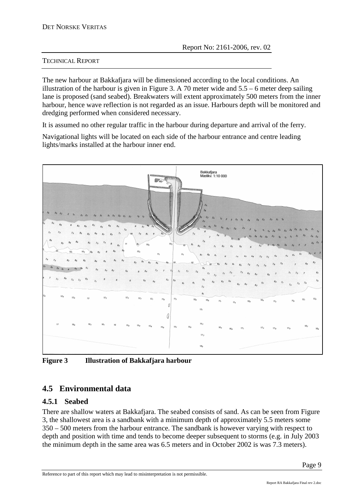The new harbour at Bakkafjara will be dimensioned according to the local conditions. An illustration of the harbour is given in Figure 3. A 70 meter wide and 5.5 – 6 meter deep sailing lane is proposed (sand seabed). Breakwaters will extent approximately 500 meters from the inner harbour, hence wave reflection is not regarded as an issue. Harbours depth will be monitored and dredging performed when considered necessary.

It is assumed no other regular traffic in the harbour during departure and arrival of the ferry.

Navigational lights will be located on each side of the harbour entrance and centre leading lights/marks installed at the harbour inner end.



**Figure 3 Illustration of Bakkafjara harbour** 

# **4.5 Environmental data**

### **4.5.1 Seabed**

There are shallow waters at Bakkafjara. The seabed consists of sand. As can be seen from Figure 3, the shallowest area is a sandbank with a minimum depth of approximately 5.5 meters some 350 – 500 meters from the harbour entrance. The sandbank is however varying with respect to depth and position with time and tends to become deeper subsequent to storms (e.g. in July 2003 the minimum depth in the same area was 6.5 meters and in October 2002 is was 7.3 meters).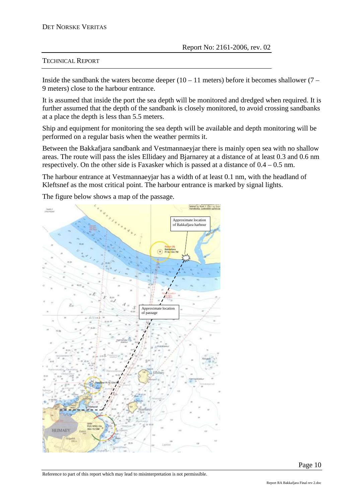Inside the sandbank the waters become deeper  $(10 - 11$  meters) before it becomes shallower  $(7 -$ 9 meters) close to the harbour entrance.

It is assumed that inside the port the sea depth will be monitored and dredged when required. It is further assumed that the depth of the sandbank is closely monitored, to avoid crossing sandbanks at a place the depth is less than 5.5 meters.

Ship and equipment for monitoring the sea depth will be available and depth monitoring will be performed on a regular basis when the weather permits it.

Between the Bakkafiara sandbank and Vestmannaeviar there is mainly open sea with no shallow areas. The route will pass the isles Ellidaey and Bjarnarey at a distance of at least 0.3 and 0.6 nm respectively. On the other side is Faxasker which is passed at a distance of 0.4 – 0.5 nm.

The harbour entrance at Vestmannaeyjar has a width of at least 0.1 nm, with the headland of Kleftsnef as the most critical point. The harbour entrance is marked by signal lights.

The figure below shows a map of the passage.

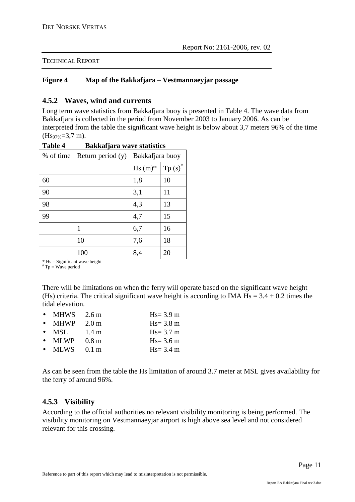#### **Figure 4 Map of the Bakkafjara – Vestmannaeyjar passage**

#### **4.5.2 Waves, wind and currents**

Long term wave statistics from Bakkafjara buoy is presented in Table 4. The wave data from Bakkafjara is collected in the period from November 2003 to January 2006. As can be interpreted from the table the significant wave height is below about 3,7 meters 96% of the time  $(Hs_{97\%}=3,7 \text{ m}).$ 

| <i>r</i> ummajni u |                     |                 |               |  |  |
|--------------------|---------------------|-----------------|---------------|--|--|
| % of time          | Return period $(y)$ | Bakkafjara buoy |               |  |  |
|                    |                     | $Hs(m)$ *       | Tp $(s)^{\#}$ |  |  |
| 60                 |                     | 1,8             | 10            |  |  |
| 90                 |                     | 3,1             | 11            |  |  |
| 98                 |                     | 4,3             | 13            |  |  |
| 99                 |                     | 4,7             | 15            |  |  |
|                    | 1                   | 6,7             | 16            |  |  |
|                    | 10                  | 7,6             | 18            |  |  |
|                    | 100                 | 8,4             | 20            |  |  |

**Table 4 Bakkafjara wave statistics** 

 $*$  Hs = Significant wave height  $*$  Tp = Wave period

There will be limitations on when the ferry will operate based on the significant wave height (Hs) criteria. The critical significant wave height is according to IMA  $\text{Hs} = 3.4 + 0.2$  times the tidal elevation.

| $\bullet$ MHWS 2.6 m           |                  | $Hs = 3.9$ m |
|--------------------------------|------------------|--------------|
| $\bullet$ MHWP                 | 2.0 <sub>m</sub> | $Hs = 3.8$ m |
| $\bullet$ MSL                  | $1.4 \text{ m}$  | $Hs = 3.7$ m |
| $\bullet$ MLWP $0.8 \text{ m}$ |                  | $Hs = 3.6$ m |
| $\bullet$ MLWS $0.1 \text{ m}$ |                  | $Hs = 3.4$ m |

As can be seen from the table the Hs limitation of around 3.7 meter at MSL gives availability for the ferry of around 96%.

### **4.5.3 Visibility**

According to the official authorities no relevant visibility monitoring is being performed. The visibility monitoring on Vestmannaeyjar airport is high above sea level and not considered relevant for this crossing.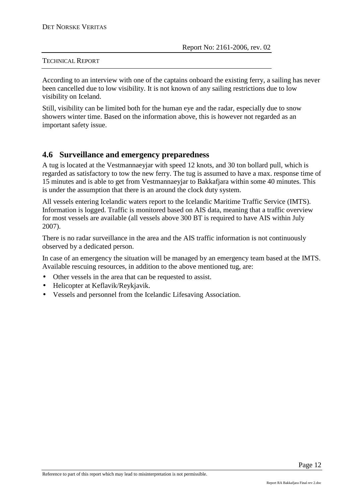According to an interview with one of the captains onboard the existing ferry, a sailing has never been cancelled due to low visibility. It is not known of any sailing restrictions due to low visibility on Iceland.

Still, visibility can be limited both for the human eye and the radar, especially due to snow showers winter time. Based on the information above, this is however not regarded as an important safety issue.

### **4.6 Surveillance and emergency preparedness**

A tug is located at the Vestmannaeyjar with speed 12 knots, and 30 ton bollard pull, which is regarded as satisfactory to tow the new ferry. The tug is assumed to have a max. response time of 15 minutes and is able to get from Vestmannaeyjar to Bakkafjara within some 40 minutes. This is under the assumption that there is an around the clock duty system.

All vessels entering Icelandic waters report to the Icelandic Maritime Traffic Service (IMTS). Information is logged. Traffic is monitored based on AIS data, meaning that a traffic overview for most vessels are available (all vessels above 300 BT is required to have AIS within July 2007).

There is no radar surveillance in the area and the AIS traffic information is not continuously observed by a dedicated person.

In case of an emergency the situation will be managed by an emergency team based at the IMTS. Available rescuing resources, in addition to the above mentioned tug, are:

- Other vessels in the area that can be requested to assist.
- Helicopter at Keflavik/Reykjavik.
- Vessels and personnel from the Icelandic Lifesaving Association.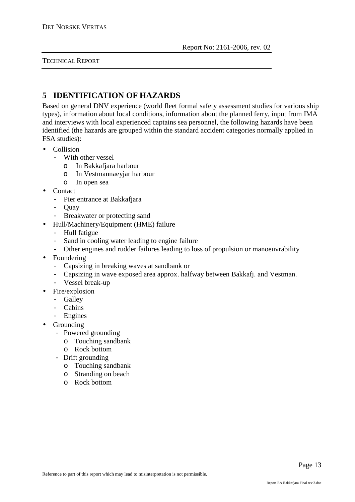# **5 IDENTIFICATION OF HAZARDS**

Based on general DNV experience (world fleet formal safety assessment studies for various ship types), information about local conditions, information about the planned ferry, input from IMA and interviews with local experienced captains sea personnel, the following hazards have been identified (the hazards are grouped within the standard accident categories normally applied in FSA studies):

- Collision
	- With other vessel
		- o In Bakkafjara harbour
		- o In Vestmannaeyjar harbour
		- o In open sea
- Contact
	- Pier entrance at Bakkafjara
	- Quay
	- Breakwater or protecting sand
- Hull/Machinery/Equipment (HME) failure
	- Hull fatigue
	- Sand in cooling water leading to engine failure
	- Other engines and rudder failures leading to loss of propulsion or manoeuvrability
- Foundering
	- Capsizing in breaking waves at sandbank or
	- Capsizing in wave exposed area approx. halfway between Bakkafj. and Vestman.
	- Vessel break-up
- Fire/explosion
	- Galley
	- Cabins
	- Engines
- **Grounding** 
	- Powered grounding
		- o Touching sandbank
		- o Rock bottom
	- Drift grounding
		- o Touching sandbank
		- o Stranding on beach
		- o Rock bottom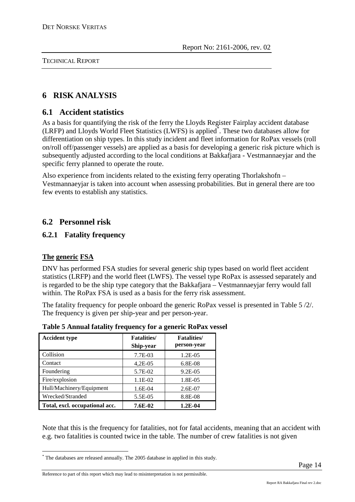# **6 RISK ANALYSIS**

### **6.1 Accident statistics**

As a basis for quantifying the risk of the ferry the Lloyds Register Fairplay accident database (LRFP) and Lloyds World Fleet Statistics (LWFS) is applied\* . These two databases allow for differentiation on ship types. In this study incident and fleet information for RoPax vessels (roll on/roll off/passenger vessels) are applied as a basis for developing a generic risk picture which is subsequently adjusted according to the local conditions at Bakkafjara - Vestmannaeyjar and the specific ferry planned to operate the route.

Also experience from incidents related to the existing ferry operating Thorlakshofn – Vestmannaeyjar is taken into account when assessing probabilities. But in general there are too few events to establish any statistics.

# **6.2 Personnel risk**

### **6.2.1 Fatality frequency**

### **The generic FSA**

DNV has performed FSA studies for several generic ship types based on world fleet accident statistics (LRFP) and the world fleet (LWFS). The vessel type RoPax is assessed separately and is regarded to be the ship type category that the Bakkafjara – Vestmannaeyjar ferry would fall within. The RoPax FSA is used as a basis for the ferry risk assessment.

The fatality frequency for people onboard the generic RoPax vessel is presented in Table 5 /2/. The frequency is given per ship-year and per person-year.

| <b>Accident type</b>           | <b>Fatalities</b> /<br>Ship-year | <b>Fatalities/</b><br>person-year |
|--------------------------------|----------------------------------|-----------------------------------|
| Collision                      | 7.7E-03                          | $1.2E-0.5$                        |
| Contact                        | $4,2E-05$                        | 6.8E-08                           |
| Foundering                     | 5.7E-02                          | $9.2E - 0.5$                      |
| Fire/explosion                 | 1.1E-02                          | 1.8E-05                           |
| Hull/Machinery/Equipment       | 1.6E-04                          | $2.6E-07$                         |
| Wrecked/Stranded               | 5.5E-05                          | 8.8E-08                           |
| Total, excl. occupational acc. | 7.6E-02                          | $1.2E-04$                         |

**Table 5 Annual fatality frequency for a generic RoPax vessel** 

Note that this is the frequency for fatalities, not for fatal accidents, meaning that an accident with e.g. two fatalities is counted twice in the table. The number of crew fatalities is not given

 \* The databases are released annually. The 2005 database in applied in this study.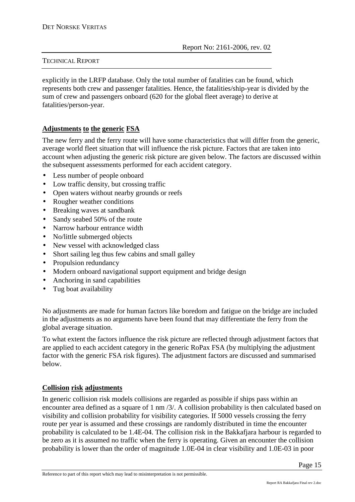explicitly in the LRFP database. Only the total number of fatalities can be found, which represents both crew and passenger fatalities. Hence, the fatalities/ship-year is divided by the sum of crew and passengers onboard (620 for the global fleet average) to derive at fatalities/person-year.

#### **Adjustments to the generic FSA**

The new ferry and the ferry route will have some characteristics that will differ from the generic, average world fleet situation that will influence the risk picture. Factors that are taken into account when adjusting the generic risk picture are given below. The factors are discussed within the subsequent assessments performed for each accident category.

- Less number of people onboard
- Low traffic density, but crossing traffic
- Open waters without nearby grounds or reefs
- Rougher weather conditions
- Breaking waves at sandbank
- Sandy seabed 50% of the route
- Narrow harbour entrance width
- No/little submerged objects
- New vessel with acknowledged class
- Short sailing leg thus few cabins and small galley
- Propulsion redundancy
- Modern onboard navigational support equipment and bridge design
- Anchoring in sand capabilities
- Tug boat availability

No adjustments are made for human factors like boredom and fatigue on the bridge are included in the adjustments as no arguments have been found that may differentiate the ferry from the global average situation.

To what extent the factors influence the risk picture are reflected through adjustment factors that are applied to each accident category in the generic RoPax FSA (by multiplying the adjustment factor with the generic FSA risk figures). The adjustment factors are discussed and summarised below.

#### **Collision risk adjustments**

In generic collision risk models collisions are regarded as possible if ships pass within an encounter area defined as a square of 1 nm /3/. A collision probability is then calculated based on visibility and collision probability for visibility categories. If 5000 vessels crossing the ferry route per year is assumed and these crossings are randomly distributed in time the encounter probability is calculated to be 1.4E-04. The collision risk in the Bakkafjara harbour is regarded to be zero as it is assumed no traffic when the ferry is operating. Given an encounter the collision probability is lower than the order of magnitude 1.0E-04 in clear visibility and 1.0E-03 in poor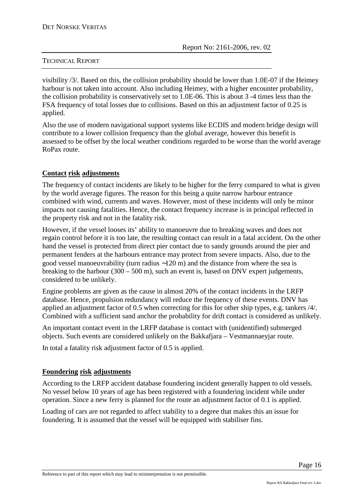visibility /3/. Based on this, the collision probability should be lower than 1.0E-07 if the Heimey harbour is not taken into account. Also including Heimey, with a higher encounter probability, the collision probability is conservatively set to 1.0E-06. This is about 3 -4 times less than the FSA frequency of total losses due to collisions. Based on this an adjustment factor of 0.25 is applied.

Also the use of modern navigational support systems like ECDIS and modern bridge design will contribute to a lower collision frequency than the global average, however this benefit is assessed to be offset by the local weather conditions regarded to be worse than the world average RoPax route.

#### **Contact risk adjustments**

The frequency of contact incidents are likely to be higher for the ferry compared to what is given by the world average figures. The reason for this being a quite narrow harbour entrance combined with wind, currents and waves. However, most of these incidents will only be minor impacts not causing fatalities. Hence, the contact frequency increase is in principal reflected in the property risk and not in the fatality risk.

However, if the vessel looses its' ability to manoeuvre due to breaking waves and does not regain control before it is too late, the resulting contact can result in a fatal accident. On the other hand the vessel is protected from direct pier contact due to sandy grounds around the pier and permanent fenders at the harbours entrance may protect from severe impacts. Also, due to the good vessel manoeuvrability (turn radius ∼120 m) and the distance from where the sea is breaking to the harbour  $(300 - 500 \text{ m})$ , such an event is, based on DNV expert judgements, considered to be unlikely.

Engine problems are given as the cause in almost 20% of the contact incidents in the LRFP database. Hence, propulsion redundancy will reduce the frequency of these events. DNV has applied an adjustment factor of 0.5 when correcting for this for other ship types, e.g. tankers /4/. Combined with a sufficient sand anchor the probability for drift contact is considered as unlikely.

An important contact event in the LRFP database is contact with (unidentified) submerged objects. Such events are considered unlikely on the Bakkafjara – Vestmannaeyjar route.

In total a fatality risk adjustment factor of 0.5 is applied.

#### **Foundering risk adjustments**

According to the LRFP accident database foundering incident generally happen to old vessels. No vessel below 10 years of age has been registered with a foundering incident while under operation. Since a new ferry is planned for the route an adjustment factor of 0.1 is applied.

Loading of cars are not regarded to affect stability to a degree that makes this an issue for foundering. It is assumed that the vessel will be equipped with stabiliser fins.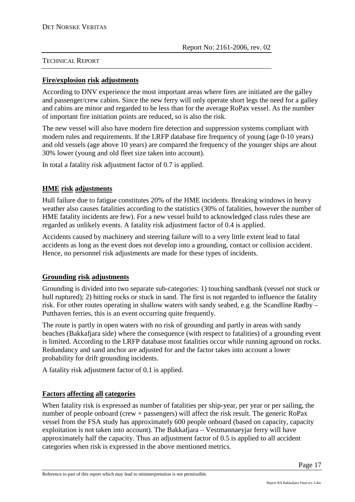#### **Fire/explosion risk adjustments**

According to DNV experience the most important areas where fires are initiated are the galley and passenger/crew cabins. Since the new ferry will only operate short legs the need for a galley and cabins are minor and regarded to be less than for the average RoPax vessel. As the number of important fire initiation points are reduced, so is also the risk.

The new vessel will also have modern fire detection and suppression systems compliant with modern rules and requirements. If the LRFP database fire frequency of young (age 0-10 years) and old vessels (age above 10 years) are compared the frequency of the younger ships are about 30% lower (young and old fleet size taken into account).

In total a fatality risk adjustment factor of 0.7 is applied.

#### **HME risk adjustments**

Hull failure due to fatigue constitutes 20% of the HME incidents. Breaking windows in heavy weather also causes fatalities according to the statistics (30% of fatalities, however the number of HME fatality incidents are few). For a new vessel build to acknowledged class rules these are regarded as unlikely events. A fatality risk adjustment factor of 0.4 is applied.

Accidents caused by machinery and steering failure will to a very little extent lead to fatal accidents as long as the event does not develop into a grounding, contact or collision accident. Hence, no personnel risk adjustments are made for these types of incidents.

#### **Grounding risk adjustments**

Grounding is divided into two separate sub-categories: 1) touching sandbank (vessel not stuck or hull ruptured); 2) hitting rocks or stuck in sand. The first is not regarded to influence the fatality risk. For other routes operating in shallow waters with sandy seabed, e.g. the Scandline Rødby – Putthaven ferries, this is an event occurring quite frequently.

The route is partly in open waters with no risk of grounding and partly in areas with sandy beaches (Bakkafjara side) where the consequence (with respect to fatalities) of a grounding event is limited. According to the LRFP database most fatalities occur while running aground on rocks. Redundancy and sand anchor are adjusted for and the factor takes into account a lower probability for drift grounding incidents.

A fatality risk adjustment factor of 0.1 is applied.

#### **Factors affecting all categories**

When fatality risk is expressed as number of fatalities per ship-year, per year or per sailing, the number of people onboard (crew + passengers) will affect the risk result. The generic RoPax vessel from the FSA study has approximately 600 people onboard (based on capacity, capacity exploitation is not taken into account). The Bakkafjara – Vestmannaeyjar ferry will have approximately half the capacity. Thus an adjustment factor of 0.5 is applied to all accident categories when risk is expressed in the above mentioned metrics.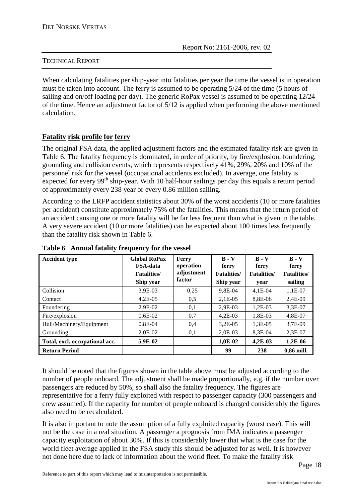When calculating fatalities per ship-year into fatalities per year the time the vessel is in operation must be taken into account. The ferry is assumed to be operating 5/24 of the time (5 hours of sailing and on/off loading per day). The generic RoPax vessel is assumed to be operating 12/24 of the time. Hence an adjustment factor of 5/12 is applied when performing the above mentioned calculation.

#### **Fatality risk profile for ferry**

The original FSA data, the applied adjustment factors and the estimated fatality risk are given in Table 6. The fatality frequency is dominated, in order of priority, by fire/explosion, foundering, grounding and collision events, which represents respectively 41%, 29%, 20% and 10% of the personnel risk for the vessel (occupational accidents excluded). In average, one fatality is expected for every  $99<sup>th</sup>$  ship-year. With 10 half-hour sailings per day this equals a return period of approximately every 238 year or every 0.86 million sailing.

According to the LRFP accident statistics about 30% of the worst accidents (10 or more fatalities per accident) constitute approximately 75% of the fatalities. This means that the return period of an accident causing one or more fatality will be far less frequent than what is given in the table. A very severe accident (10 or more fatalities) can be expected about 100 times less frequently than the fatality risk shown in Table 6.

| <b>Accident type</b>           | <b>Global RoPax</b><br><b>FSA-data</b><br><b>Fatalities</b> / | Ferry<br>operation<br>adjustment | $B - V$<br>ferry<br><b>Fatalities</b> / | $B - V$<br>ferry<br><b>Fatalities</b> / | $B - V$<br>ferry<br><b>Fatalities</b> / |
|--------------------------------|---------------------------------------------------------------|----------------------------------|-----------------------------------------|-----------------------------------------|-----------------------------------------|
|                                | Ship year                                                     | factor                           | Ship year                               | year                                    | sailing                                 |
| Collision                      | 3.9E-03                                                       | 0.25                             | 9.8E-04                                 | $4,1E-04$                               | 1.1E-07                                 |
| Contact                        | $4.2E - 0.5$                                                  | 0,5                              | $2.1E-0.5$                              | 8.8E-06                                 | 2.4E-09                                 |
| Foundering                     | 2.9E-02                                                       | 0,1                              | 2.9E-03                                 | $1.2E-03$                               | 3.3E-07                                 |
| Fire/explosion                 | $0.6E-02$                                                     | 0,7                              | $4,2E-03$                               | 1,8E-03                                 | 4,8E-07                                 |
| Hull/Machinery/Equipment       | $0.8E - 04$                                                   | 0.4                              | $3,2E-05$                               | 1,3E-05                                 | 3,7E-09                                 |
| Grounding                      | 2.0E-02                                                       | 0,1                              | 2,0E-03                                 | 8,3E-04                                 | $2,3E-07$                               |
| Total, excl. occupational acc. | 5,9E-02                                                       |                                  | 1,0E-02                                 | $4,2E-03$                               | 1,2E-06                                 |
| <b>Return Period</b>           |                                                               |                                  | 99                                      | 238                                     | 0,86 mill.                              |

#### **Table 6 Annual fatality frequency for the vessel**

It should be noted that the figures shown in the table above must be adjusted according to the number of people onboard. The adjustment shall be made proportionally, e.g. if the number over passengers are reduced by 50%, so shall also the fatality frequency. The figures are representative for a ferry fully exploited with respect to passenger capacity (300 passengers and crew assumed). If the capacity for number of people onboard is changed considerably the figures also need to be recalculated.

It is also important to note the assumption of a fully exploited capacity (worst case). This will not be the case in a real situation. A passenger a prognosis from IMA indicates a passenger capacity exploitation of about 30%. If this is considerably lower that what is the case for the world fleet average applied in the FSA study this should be adjusted for as well. It is however not done here due to lack of information about the world fleet. To make the fatality risk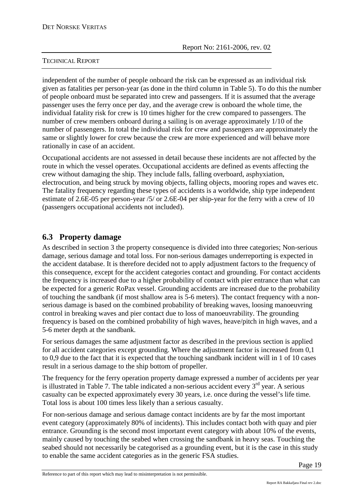independent of the number of people onboard the risk can be expressed as an individual risk given as fatalities per person-year (as done in the third column in Table 5). To do this the number of people onboard must be separated into crew and passengers. If it is assumed that the average passenger uses the ferry once per day, and the average crew is onboard the whole time, the individual fatality risk for crew is 10 times higher for the crew compared to passengers. The number of crew members onboard during a sailing is on average approximately 1/10 of the number of passengers. In total the individual risk for crew and passengers are approximately the same or slightly lower for crew because the crew are more experienced and will behave more rationally in case of an accident.

Occupational accidents are not assessed in detail because these incidents are not affected by the route in which the vessel operates. Occupational accidents are defined as events affecting the crew without damaging the ship. They include falls, falling overboard, asphyxiation, electrocution, and being struck by moving objects, falling objects, mooring ropes and waves etc. The fatality frequency regarding these types of accidents is a worldwide, ship type independent estimate of 2.6E-05 per person-year /5/ or 2.6E-04 per ship-year for the ferry with a crew of 10 (passengers occupational accidents not included).

# **6.3 Property damage**

As described in section 3 the property consequence is divided into three categories; Non-serious damage, serious damage and total loss. For non-serious damages underreporting is expected in the accident database. It is therefore decided not to apply adjustment factors to the frequency of this consequence, except for the accident categories contact and grounding. For contact accidents the frequency is increased due to a higher probability of contact with pier entrance than what can be expected for a generic RoPax vessel. Grounding accidents are increased due to the probability of touching the sandbank (if most shallow area is 5-6 meters). The contact frequency with a nonserious damage is based on the combined probability of breaking waves, loosing manoeuvring control in breaking waves and pier contact due to loss of manoeuvrability. The grounding frequency is based on the combined probability of high waves, heave/pitch in high waves, and a 5-6 meter depth at the sandbank.

For serious damages the same adjustment factor as described in the previous section is applied for all accident categories except grounding. Where the adjustment factor is increased from 0,1 to 0,9 due to the fact that it is expected that the touching sandbank incident will in 1 of 10 cases result in a serious damage to the ship bottom of propeller.

The frequency for the ferry operation property damage expressed a number of accidents per year is illustrated in Table 7. The table indicated a non-serious accident every  $3<sup>rd</sup>$  year. A serious casualty can be expected approximately every 30 years, i.e. once during the vessel's life time. Total loss is about 100 times less likely than a serious casualty.

For non-serious damage and serious damage contact incidents are by far the most important event category (approximately 80% of incidents). This includes contact both with quay and pier entrance. Grounding is the second most important event category with about 10% of the events, mainly caused by touching the seabed when crossing the sandbank in heavy seas. Touching the seabed should not necessarily be categorised as a grounding event, but it is the case in this study to enable the same accident categories as in the generic FSA studies.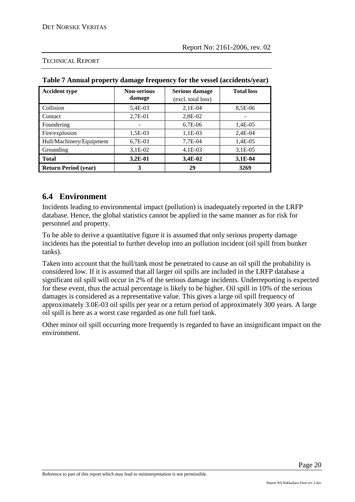| <b>Accident type</b>        | <b>Non-serious</b><br>damage | <b>Serious damage</b><br>(excl. total loss) | <b>Total loss</b> |  |
|-----------------------------|------------------------------|---------------------------------------------|-------------------|--|
| Collision                   | 5,4E-03                      | $2,1E-04$                                   | 8,5E-06           |  |
| Contact                     | 2,7E-01                      | 2,8E-02                                     |                   |  |
| Foundering                  |                              | $6,7E-06$                                   | 1,4E-05           |  |
| Fire/explosion              | 1,5E-03                      | $1,1E-03$                                   | 2,4E-04           |  |
| Hull/Machinery/Equipment    | 6,7E-03                      | 7,7E-04                                     | 1,4E-05           |  |
| Grounding                   | $3,1E-02$                    | $4,1E-03$                                   | $3,1E-05$         |  |
| <b>Total</b>                | $3,2E-01$                    | 3,4E-02                                     | 3,1E-04           |  |
| <b>Return Period (year)</b> | 3                            | 29                                          | 3269              |  |

**Table 7 Annual property damage frequency for the vessel (accidents/year)** 

#### TECHNICAL REPORT

### **6.4 Environment**

Incidents leading to environmental impact (pollution) is inadequately reported in the LRFP database. Hence, the global statistics cannot be applied in the same manner as for risk for personnel and property.

To be able to derive a quantitative figure it is assumed that only serious property damage incidents has the potential to further develop into an pollution incident (oil spill from bunker tanks).

Taken into account that the hull/tank most be penetrated to cause an oil spill the probability is considered low. If it is assumed that all larger oil spills are included in the LRFP database a significant oil spill will occur in 2% of the serious damage incidents. Underreporting is expected for these event, thus the actual percentage is likely to be higher. Oil spill in 10% of the serious damages is considered as a representative value. This gives a large oil spill frequency of approximately 3.0E-03 oil spills per year or a return period of approximately 300 years. A large oil spill is here as a worst case regarded as one full fuel tank.

Other minor oil spill occurring more frequently is regarded to have an insignificant impact on the environment.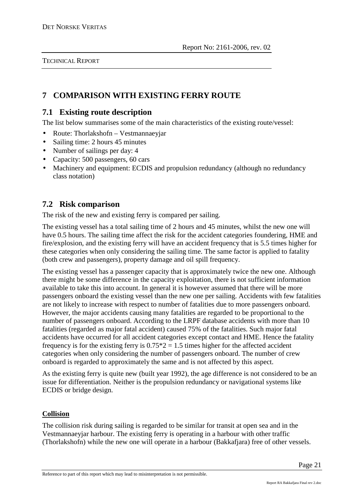# **7 COMPARISON WITH EXISTING FERRY ROUTE**

# **7.1 Existing route description**

The list below summarises some of the main characteristics of the existing route/vessel:

- Route: Thorlakshofn Vestmannaeyjar
- Sailing time: 2 hours 45 minutes
- Number of sailings per day: 4
- Capacity: 500 passengers, 60 cars
- Machinery and equipment: ECDIS and propulsion redundancy (although no redundancy class notation)

# **7.2 Risk comparison**

The risk of the new and existing ferry is compared per sailing.

The existing vessel has a total sailing time of 2 hours and 45 minutes, whilst the new one will have 0.5 hours. The sailing time affect the risk for the accident categories foundering, HME and fire/explosion, and the existing ferry will have an accident frequency that is 5.5 times higher for these categories when only considering the sailing time. The same factor is applied to fatality (both crew and passengers), property damage and oil spill frequency.

The existing vessel has a passenger capacity that is approximately twice the new one. Although there might be some difference in the capacity exploitation, there is not sufficient information available to take this into account. In general it is however assumed that there will be more passengers onboard the existing vessel than the new one per sailing. Accidents with few fatalities are not likely to increase with respect to number of fatalities due to more passengers onboard. However, the major accidents causing many fatalities are regarded to be proportional to the number of passengers onboard. According to the LRPF database accidents with more than 10 fatalities (regarded as major fatal accident) caused 75% of the fatalities. Such major fatal accidents have occurred for all accident categories except contact and HME. Hence the fatality frequency is for the existing ferry is  $0.75 \times 2 = 1.5$  times higher for the affected accident categories when only considering the number of passengers onboard. The number of crew onboard is regarded to approximately the same and is not affected by this aspect.

As the existing ferry is quite new (built year 1992), the age difference is not considered to be an issue for differentiation. Neither is the propulsion redundancy or navigational systems like ECDIS or bridge design.

#### **Collision**

The collision risk during sailing is regarded to be similar for transit at open sea and in the Vestmannaeyjar harbour. The existing ferry is operating in a harbour with other traffic (Thorlakshofn) while the new one will operate in a harbour (Bakkafjara) free of other vessels.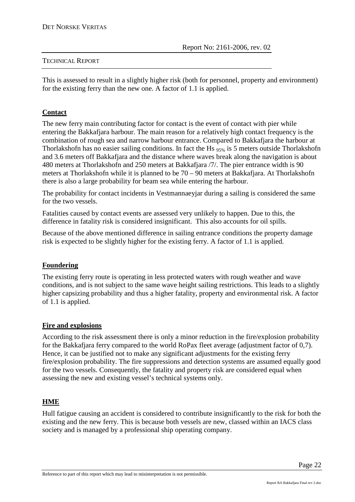This is assessed to result in a slightly higher risk (both for personnel, property and environment) for the existing ferry than the new one. A factor of 1.1 is applied.

#### **Contact**

The new ferry main contributing factor for contact is the event of contact with pier while entering the Bakkafjara harbour. The main reason for a relatively high contact frequency is the combination of rough sea and narrow harbour entrance. Compared to Bakkafjara the harbour at Thorlakshofn has no easier sailing conditions. In fact the Hs 95% is 5 meters outside Thorlakshofn and 3.6 meters off Bakkafjara and the distance where waves break along the navigation is about 480 meters at Thorlakshofn and 250 meters at Bakkafjara /7/. The pier entrance width is 90 meters at Thorlakshofn while it is planned to be 70 – 90 meters at Bakkafjara. At Thorlakshofn there is also a large probability for beam sea while entering the harbour.

The probability for contact incidents in Vestmannaeyjar during a sailing is considered the same for the two vessels.

Fatalities caused by contact events are assessed very unlikely to happen. Due to this, the difference in fatality risk is considered insignificant. This also accounts for oil spills.

Because of the above mentioned difference in sailing entrance conditions the property damage risk is expected to be slightly higher for the existing ferry. A factor of 1.1 is applied.

#### **Foundering**

The existing ferry route is operating in less protected waters with rough weather and wave conditions, and is not subject to the same wave height sailing restrictions. This leads to a slightly higher capsizing probability and thus a higher fatality, property and environmental risk. A factor of 1.1 is applied.

#### **Fire and explosions**

According to the risk assessment there is only a minor reduction in the fire/explosion probability for the Bakkafjara ferry compared to the world RoPax fleet average (adjustment factor of 0,7). Hence, it can be justified not to make any significant adjustments for the existing ferry fire/explosion probability. The fire suppressions and detection systems are assumed equally good for the two vessels. Consequently, the fatality and property risk are considered equal when assessing the new and existing vessel's technical systems only.

#### **HME**

Hull fatigue causing an accident is considered to contribute insignificantly to the risk for both the existing and the new ferry. This is because both vessels are new, classed within an IACS class society and is managed by a professional ship operating company.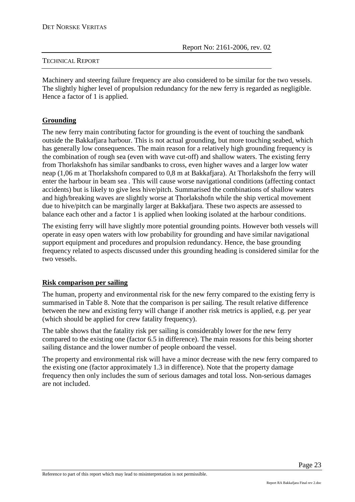Machinery and steering failure frequency are also considered to be similar for the two vessels. The slightly higher level of propulsion redundancy for the new ferry is regarded as negligible. Hence a factor of 1 is applied.

#### **Grounding**

The new ferry main contributing factor for grounding is the event of touching the sandbank outside the Bakkafjara harbour. This is not actual grounding, but more touching seabed, which has generally low consequences. The main reason for a relatively high grounding frequency is the combination of rough sea (even with wave cut-off) and shallow waters. The existing ferry from Thorlakshofn has similar sandbanks to cross, even higher waves and a larger low water neap (1,06 m at Thorlakshofn compared to 0,8 m at Bakkafjara). At Thorlakshofn the ferry will enter the harbour in beam sea . This will cause worse navigational conditions (affecting contact accidents) but is likely to give less hive/pitch. Summarised the combinations of shallow waters and high/breaking waves are slightly worse at Thorlakshofn while the ship vertical movement due to hive/pitch can be marginally larger at Bakkafjara. These two aspects are assessed to balance each other and a factor 1 is applied when looking isolated at the harbour conditions.

The existing ferry will have slightly more potential grounding points. However both vessels will operate in easy open waters with low probability for grounding and have similar navigational support equipment and procedures and propulsion redundancy. Hence, the base grounding frequency related to aspects discussed under this grounding heading is considered similar for the two vessels.

#### **Risk comparison per sailing**

The human, property and environmental risk for the new ferry compared to the existing ferry is summarised in Table 8. Note that the comparison is per sailing. The result relative difference between the new and existing ferry will change if another risk metrics is applied, e.g. per year (which should be applied for crew fatality frequency).

The table shows that the fatality risk per sailing is considerably lower for the new ferry compared to the existing one (factor 6.5 in difference). The main reasons for this being shorter sailing distance and the lower number of people onboard the vessel.

The property and environmental risk will have a minor decrease with the new ferry compared to the existing one (factor approximately 1.3 in difference). Note that the property damage frequency then only includes the sum of serious damages and total loss. Non-serious damages are not included.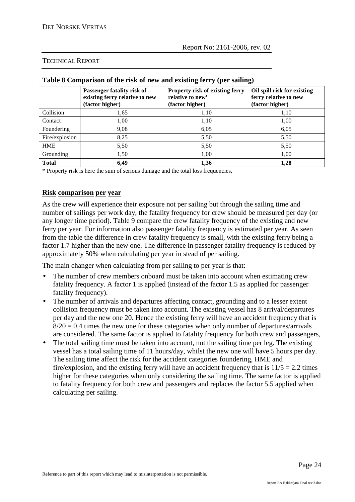|                | Passenger fatality risk of<br>existing ferry relative to new<br>(factor higher) | Property risk of existing ferry<br>relative to new'<br>(factor higher) | Oil spill risk for existing<br>ferry relative to new<br>(factor higher) |
|----------------|---------------------------------------------------------------------------------|------------------------------------------------------------------------|-------------------------------------------------------------------------|
| Collision      | 1,65                                                                            | 1,10                                                                   | 1,10                                                                    |
| Contact        | 1,00                                                                            | 1,10                                                                   | 1,00                                                                    |
| Foundering     | 9,08                                                                            | 6,05                                                                   | 6,05                                                                    |
| Fire/explosion | 8,25                                                                            | 5,50                                                                   | 5,50                                                                    |
| <b>HME</b>     | 5,50                                                                            | 5,50                                                                   | 5,50                                                                    |
| Grounding      | 1,50                                                                            | 1,00                                                                   | 1,00                                                                    |
| <b>Total</b>   | 6,49                                                                            | 1,36                                                                   | 1,28                                                                    |

#### **Table 8 Comparison of the risk of new and existing ferry (per sailing)**

\* Property risk is here the sum of serious damage and the total loss frequencies.

#### **Risk comparison per year**

As the crew will experience their exposure not per sailing but through the sailing time and number of sailings per work day, the fatality frequency for crew should be measured per day (or any longer time period). Table 9 compare the crew fatality frequency of the existing and new ferry per year. For information also passenger fatality frequency is estimated per year. As seen from the table the difference in crew fatality frequency is small, with the existing ferry being a factor 1.7 higher than the new one. The difference in passenger fatality frequency is reduced by approximately 50% when calculating per year in stead of per sailing.

The main changer when calculating from per sailing to per year is that:

- The number of crew members onboard must be taken into account when estimating crew fatality frequency. A factor 1 is applied (instead of the factor 1.5 as applied for passenger fatality frequency).
- The number of arrivals and departures affecting contact, grounding and to a lesser extent collision frequency must be taken into account. The existing vessel has 8 arrival/departures per day and the new one 20. Hence the existing ferry will have an accident frequency that is  $8/20 = 0.4$  times the new one for these categories when only number of departures/arrivals are considered. The same factor is applied to fatality frequency for both crew and passengers,
- The total sailing time must be taken into account, not the sailing time per leg. The existing vessel has a total sailing time of 11 hours/day, whilst the new one will have 5 hours per day. The sailing time affect the risk for the accident categories foundering, HME and fire/explosion, and the existing ferry will have an accident frequency that is  $11/5 = 2.2$  times higher for these categories when only considering the sailing time. The same factor is applied to fatality frequency for both crew and passengers and replaces the factor 5.5 applied when calculating per sailing.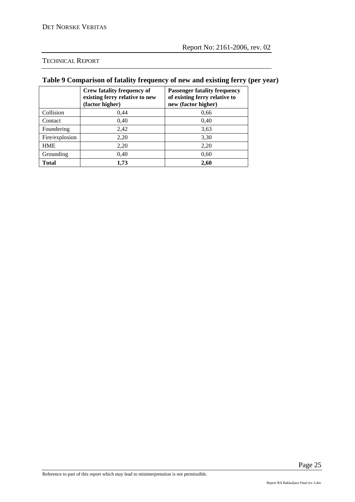# **Table 9 Comparison of fatality frequency of new and existing ferry (per year)**

|                | <b>Crew fatality frequency of</b><br>existing ferry relative to new<br>(factor higher) | <b>Passenger fatality frequency</b><br>of existing ferry relative to<br>new (factor higher) |
|----------------|----------------------------------------------------------------------------------------|---------------------------------------------------------------------------------------------|
| Collision      | 0,44                                                                                   | 0,66                                                                                        |
| Contact        | 0,40                                                                                   | 0,40                                                                                        |
| Foundering     | 2,42                                                                                   | 3,63                                                                                        |
| Fire/explosion | 2,20                                                                                   | 3,30                                                                                        |
| <b>HME</b>     | 2,20                                                                                   | 2,20                                                                                        |
| Grounding      | 0,40                                                                                   | 0,60                                                                                        |
| <b>Total</b>   | 1,73                                                                                   | 2,60                                                                                        |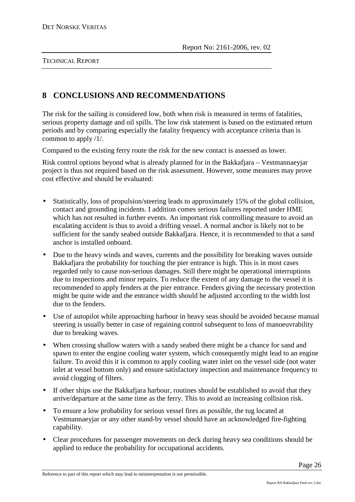# **8 CONCLUSIONS AND RECOMMENDATIONS**

The risk for the sailing is considered low, both when risk is measured in terms of fatalities, serious property damage and oil spills. The low risk statement is based on the estimated return periods and by comparing especially the fatality frequency with acceptance criteria than is common to apply /1/.

Compared to the existing ferry route the risk for the new contact is assessed as lower.

Risk control options beyond what is already planned for in the Bakkafjara – Vestmannaeyjar project is thus not required based on the risk assessment. However, some measures may prove cost effective and should be evaluated:

- Statistically, loss of propulsion/steering leads to approximately 15% of the global collision, contact and grounding incidents. I addition comes serious failures reported under HME which has not resulted in further events. An important risk controlling measure to avoid an escalating accident is thus to avoid a drifting vessel. A normal anchor is likely not to be sufficient for the sandy seabed outside Bakkafjara. Hence, it is recommended to that a sand anchor is installed onboard.
- Due to the heavy winds and waves, currents and the possibility for breaking waves outside Bakkafjara the probability for touching the pier entrance is high. This is in most cases regarded only to cause non-serious damages. Still there might be operational interruptions due to inspections and minor repairs. To reduce the extent of any damage to the vessel it is recommended to apply fenders at the pier entrance. Fenders giving the necessary protection might be quite wide and the entrance width should be adjusted according to the width lost due to the fenders.
- Use of autopilot while approaching harbour in heavy seas should be avoided because manual steering is usually better in case of regaining control subsequent to loss of manoeuvrability due to breaking waves.
- When crossing shallow waters with a sandy seabed there might be a chance for sand and spawn to enter the engine cooling water system, which consequently might lead to an engine failure. To avoid this it is common to apply cooling water inlet on the vessel side (not water inlet at vessel bottom only) and ensure satisfactory inspection and maintenance frequency to avoid clogging of filters.
- If other ships use the Bakkafjara harbour, routines should be established to avoid that they arrive/departure at the same time as the ferry. This to avoid an increasing collision risk.
- To ensure a low probability for serious vessel fires as possible, the tug located at Vestmannaeyjar or any other stand-by vessel should have an acknowledged fire-fighting capability.
- Clear procedures for passenger movements on deck during heavy sea conditions should be applied to reduce the probability for occupational accidents.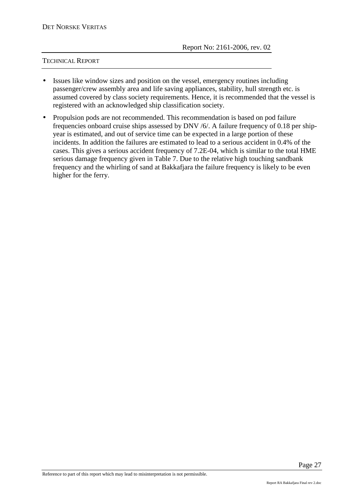- Issues like window sizes and position on the vessel, emergency routines including passenger/crew assembly area and life saving appliances, stability, hull strength etc. is assumed covered by class society requirements. Hence, it is recommended that the vessel is registered with an acknowledged ship classification society.
- Propulsion pods are not recommended. This recommendation is based on pod failure frequencies onboard cruise ships assessed by DNV /6/. A failure frequency of 0.18 per shipyear is estimated, and out of service time can be expected in a large portion of these incidents. In addition the failures are estimated to lead to a serious accident in 0.4% of the cases. This gives a serious accident frequency of 7.2E-04, which is similar to the total HME serious damage frequency given in Table 7. Due to the relative high touching sandbank frequency and the whirling of sand at Bakkafjara the failure frequency is likely to be even higher for the ferry.